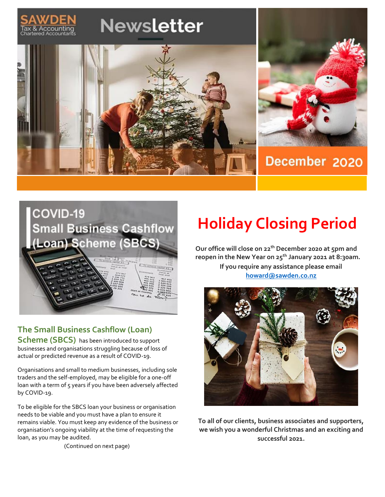



# **The Small Business Cashflow (Loan)**

**Scheme (SBCS)** has been introduced to support businesses and organisations struggling because of loss of actual or predicted revenue as a result of COVID-19.

Organisations and small to medium businesses, including sole traders and the self-employed, may be eligible for a one-off loan with a term of 5 years if you have been adversely affected by COVID-19.

To be eligible for the SBCS loan your business or organisation needs to be viable and you must have a plan to ensure it remains viable. You must keep any evidence of the business or organisation's ongoing viability at the time of requesting the loan, as you may be audited.

(Continued on next page)

# **Holiday Closing Period**

**Our office will close on 22th December 2020 at 5pm and reopen in the New Year on 25 th January 2021 at 8:30am. If you require any assistance please email [howard@sawden.co.nz](mailto:howard@sawden.co.nz)**



**To all of our clients, business associates and supporters, we wish you a wonderful Christmas and an exciting and successful 2021.**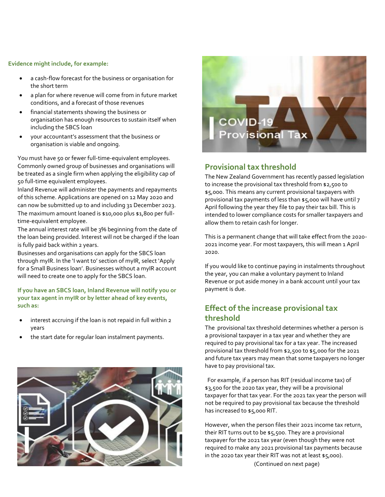#### **Evidence might include, for example:**

- a cash-flow forecast for the business or organisation for the short term
- a plan for where revenue will come from in future market conditions, and a forecast of those revenues
- financial statements showing the business or organisation has enough resources to sustain itself when including the SBCS loan
- your accountant's assessment that the business or organisation is viable and ongoing.

You must have 50 or fewer full-time-equivalent employees. Commonly owned group of businesses and organisations will be treated as a single firm when applying the eligibility cap of 50 full-time equivalent employees.

Inland Revenue will administer the payments and repayments of this scheme. Applications are opened on 12 May 2020 and can now be submitted up to and including 31 December 2023. The maximum amount loaned is \$10,000 plus \$1,800 per fulltime-equivalent employee.

The annual interest rate will be 3% beginning from the date of the loan being provided. Interest will not be charged if the loan is fully paid back within 2 years.

Businesses and organisations can apply for the SBCS loan through myIR. In the 'I want to' section of myIR, select 'Apply for a Small Business loan'. Businesses without a myIR account will need to create one to apply for the SBCS loan.

**If you have an SBCS loan, Inland Revenue will notify you or your tax agent in myIR or by letter ahead of key events, such as:**

- interest accruing if the loan is not repaid in full within 2 years
- the start date for regular loan instalment payments.





# **Provisional tax threshold**

The New Zealand Government has recently passed legislation to increase the provisional tax threshold from \$2,500 to \$5,000. This means any current provisional taxpayers with provisional tax payments of less than \$5,000 will have until 7 April following the year they file to pay their tax bill. This is intended to lower compliance costs for smaller taxpayers and allow them to retain cash for longer.

This is a permanent change that will take effect from the 2020- 2021 income year. For most taxpayers, this will mean 1 April 2020.

If you would like to continue paying in instalments throughout the year, you can make a voluntary payment to Inland Revenue or put aside money in a bank account until your tax payment is due.

## **Effect of the increase provisional tax threshold**

The provisional tax threshold determines whether a person is a provisional taxpayer in a tax year and whether they are required to pay provisional tax for a tax year. The increased provisional tax threshold from \$2,500 to \$5,000 for the 2021 and future tax years may mean that some taxpayers no longer have to pay provisional tax.

 For example, if a person has RIT (residual income tax) of \$3,500 for the 2020 tax year, they will be a provisional taxpayer for that tax year. For the 2021 tax year the person will not be required to pay provisional tax because the threshold has increased to \$5,000 RIT.

However, when the person files their 2021 income tax return, their RIT turns out to be \$5,500. They are a provisional taxpayer for the 2021 tax year (even though they were not required to make any 2021 provisional tax payments because in the 2020 tax year their RIT was not at least \$5,000). (Continued on next page)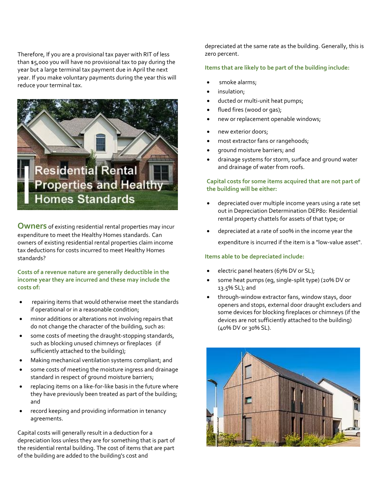Therefore, If you are a provisional tax payer with RIT of less than \$5,000 you will have no provisional tax to pay during the year but a large terminal tax payment due in April the next year. If you make voluntary payments during the year this will reduce your terminal tax.



**Owners** of existing residential rental properties may incur expenditure to meet the Healthy Homes standards. Can owners of existing residential rental properties claim income tax deductions for costs incurred to meet Healthy Homes standards?

**Costs of a revenue nature are generally deductible in the income year they are incurred and these may include the costs of:**

- repairing items that would otherwise meet the standards if operational or in a reasonable condition;
- minor additions or alterations not involving repairs that do not change the character of the building, such as:
- some costs of meeting the draught-stopping standards, such as blocking unused chimneys or fireplaces (if sufficiently attached to the building);
- Making mechanical ventilation systems compliant; and
- some costs of meeting the moisture ingress and drainage standard in respect of ground moisture barriers;
- replacing items on a like-for-like basis in the future where they have previously been treated as part of the building; and
- record keeping and providing information in tenancy agreements.

Capital costs will generally result in a deduction for a depreciation loss unless they are for something that is part of the residential rental building. The cost of items that are part of the building are added to the building's cost and

depreciated at the same rate as the building. Generally, this is zero percent.

#### **Items that are likely to be part of the building include:**

- smoke alarms;
- insulation;
- ducted or multi-unit heat pumps;
- flued fires (wood or gas);
- new or replacement openable windows;
- new exterior doors;
- most extractor fans or rangehoods;
- ground moisture barriers; and
- drainage systems for storm, surface and ground water and drainage of water from roofs.

#### **Capital costs for some items acquired that are not part of the building will be either:**

- depreciated over multiple income years using a rate set out in Depreciation Determination DEP80: Residential rental property chattels for assets of that type; or
- depreciated at a rate of 100% in the income year the expenditure is incurred if the item is a "low-value asset".

#### **Items able to be depreciated include:**

- electric panel heaters (67% DV or SL);
- some heat pumps (eg, single-split type) (20% DV or 13.5% SL); and
- through-window extractor fans, window stays, door openers and stops, external door draught excluders and some devices for blocking fireplaces or chimneys (if the devices are not sufficiently attached to the building) (40% DV or 30% SL).

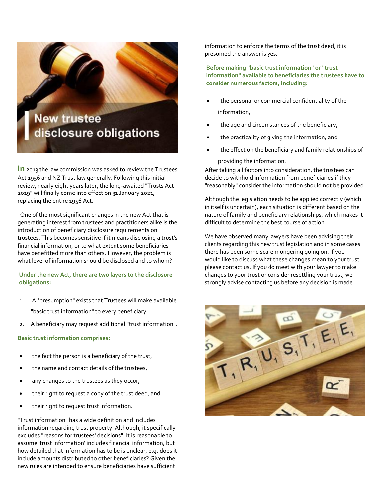**New trustee** disclosure obligations

**In** 2013 the law commission was asked to review the Trustees Act 1956 and NZ Trust law generally. Following this initial review, nearly eight years later, the long-awaited "Trusts Act 2019" will finally come into effect on 31 January 2021, replacing the entire 1956 Act.

 $\parallel$ 

 One of the most significant changes in the new Act that is generating interest from trustees and practitioners alike is the introduction of beneficiary disclosure requirements on trustees. This becomes sensitive if it means disclosing a trust's financial information, or to what extent some beneficiaries have benefitted more than others. However, the problem is what level of information should be disclosed and to whom?

**Under the new Act, there are two layers to the disclosure obligations:**

- 1. A "presumption" exists that Trustees will make available "basic trust information" to every beneficiary.
- 2. A beneficiary may request additional "trust information".

#### **Basic trust information comprises:**

- the fact the person is a beneficiary of the trust,
- the name and contact details of the trustees,
- any changes to the trustees as they occur,
- their right to request a copy of the trust deed, and
- their right to request trust information.

"Trust information" has a wide definition and includes information regarding trust property. Although, it specifically excludes "reasons for trustees' decisions". It is reasonable to assume 'trust information' includes financial information, but how detailed that information has to be is unclear, e.g. does it include amounts distributed to other beneficiaries? Given the new rules are intended to ensure beneficiaries have sufficient

information to enforce the terms of the trust deed, it is presumed the answer is yes.

**Before making "basic trust information" or "trust information" available to beneficiaries the trustees have to consider numerous factors, including:**

- the personal or commercial confidentiality of the information,
- the age and circumstances of the beneficiary,
- the practicality of giving the information, and
- the effect on the beneficiary and family relationships of providing the information.

After taking all factors into consideration, the trustees can decide to withhold information from beneficiaries if they "reasonably" consider the information should not be provided.

Although the legislation needs to be applied correctly (which in itself is uncertain), each situation is different based on the nature of family and beneficiary relationships, which makes it difficult to determine the best course of action.

We have observed many lawyers have been advising their clients regarding this new trust legislation and in some cases there has been some scare mongering going on. If you would like to discuss what these changes mean to your trust please contact us. If you do meet with your lawyer to make changes to your trust or consider resettling your trust, we strongly advise contacting us before any decision is made.

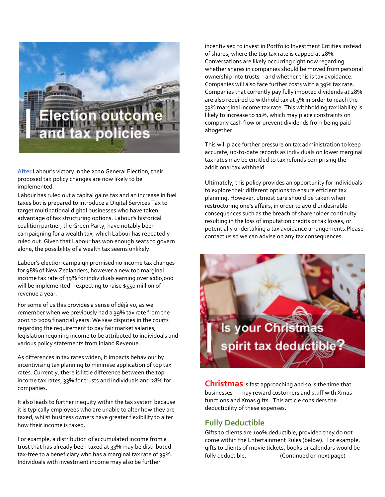

**After** Labour's victory in the 2020 General Election, their proposed tax policy changes are now likely to be implemented.

Labour has ruled out a capital gains tax and an increase in fuel taxes but is prepared to introduce a Digital Services Tax to target multinational digital businesses who have taken advantage of tax structuring options. Labour's historical coalition partner, the Green Party, have notably been campaigning for a wealth tax, which Labour has repeatedly ruled out. Given that Labour has won enough seats to govern alone, the possibility of a wealth tax seems unlikely.

Labour's election campaign promised no income tax changes for 98% of New Zealanders, however a new top marginal income tax rate of 39% for individuals earning over \$180,000 will be implemented – expecting to raise \$550 million of revenue a year.

For some of us this provides a sense of déjà vu, as we remember when we previously had a 39% tax rate from the 2001 to 2009 financial years. We saw disputes in the courts regarding the requirement to pay fair market salaries, legislation requiring income to be attributed to individuals and various policy statements from Inland Revenue.

As differences in tax rates widen, it impacts behaviour by incentivising tax planning to minimise application of top tax rates. Currently, there is little difference between the top income tax rates, 33% for trusts and individuals and 28% for companies.

It also leads to further inequity within the tax system because it is typically employees who are unable to alter how they are taxed, whilst business owners have greater flexibility to alter how their income is taxed.

For example, a distribution of accumulated income from a trust that has already been taxed at 33% may be distributed tax-free to a beneficiary who has a marginal tax rate of 39%. Individuals with investment income may also be further

incentivised to invest in Portfolio Investment Entities instead of shares, where the top tax rate is capped at 28%. Conversations are likely occurring right now regarding whether shares in companies should be moved from personal ownership into trusts – and whether this is tax avoidance. Companies will also face further costs with a 39% tax rate. Companies that currently pay fully imputed dividends at 28% are also required to withhold tax at 5% in order to reach the 33% marginal income tax rate. This withholding tax liability is likely to increase to 11%, which may place constraints on company cash flow or prevent dividends from being paid altogether.

This will place further pressure on tax administration to keep accurate, up-to-date records as individuals on lower marginal tax rates may be entitled to tax refunds comprising the additional tax withheld.

Ultimately, this policy provides an opportunity for individuals to explore their different options to ensure efficient tax planning. However, utmost care should be taken when restructuring one's affairs, in order to avoid undesirable consequences such as the breach of shareholder continuity resulting in the loss of imputation credits or tax losses, or potentially undertaking a tax avoidance arrangements.Please contact us so we can advise on any tax consequences.

Is your Christma spirit tax deduct

**Christmas** is fast approaching and so is the time that businesses may reward customers and staff with Xmas functions and Xmas gifts. This article considers the deductibility of these expenses.

# **Fully Deductible**

Gifts to clients are 100% deductible, provided they do not come within the Entertainment Rules (below). For example, gifts to clients of movie tickets, books or calendars would be fully deductible. (Continued on next page)